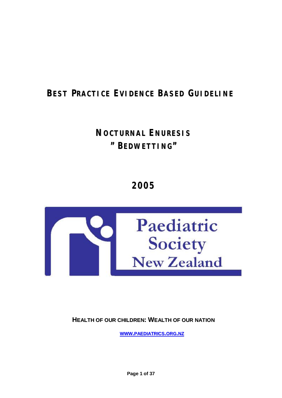# **BEST PRACTICE EVIDENCE BASED GUIDELINE**

# **NOCTURNAL ENURESIS " BEDWETTING"**

**2005**



**HEALTH OF OUR CHILDREN: WEALTH OF OUR NATION**

**WWW.PAEDIATRICS.ORG.NZ**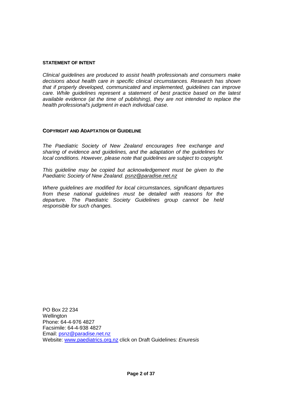#### **STATEMENT OF INTENT**

*Clinical guidelines are produced to assist health professionals and consumers make decisions about health care in specific clinical circumstances. Research has shown that if properly developed, communicated and implemented, guidelines can improve care. While guidelines represent a statement of best practice based on the latest available evidence (at the time of publishing), they are not intended to replace the health professional's judgment in each individual case.* 

## **COPYRIGHT AND ADAPTATION OF GUIDELINE**

*The Paediatric Society of New Zealand encourages free exchange and sharing of evidence and guidelines, and the adaptation of the guidelines for local conditions. However, please note that guidelines are subject to copyright.* 

*This guideline may be copied but acknowledgement must be given to the Paediatric Society of New Zealand. [psnz@paradise.net.nz](mailto:psnz@paradise.net.nz)*

*Where guidelines are modified for local circumstances, significant departures from these national guidelines must be detailed with reasons for the departure. The Paediatric Society Guidelines group cannot be held responsible for such changes.* 

PO Box 22 234 **Wellington** Phone: 64-4-976 4827 Facsimile: 64-4-938 4827 Email: [psnz@paradise.net.nz](mailto:psnz@paradise.net.nz) Website: [www.paediatrics.org.nz](http://www.paediatrics.org.nz) click on Draft Guidelines*: Enuresis*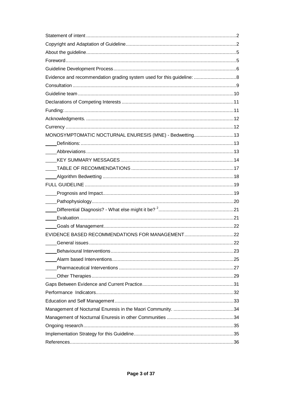| MONOSYMPTOMATIC NOCTURNAL ENURESIS (MNE) - Bedwetting13 |     |
|---------------------------------------------------------|-----|
|                                                         |     |
|                                                         |     |
|                                                         |     |
|                                                         |     |
|                                                         |     |
|                                                         |     |
|                                                         |     |
|                                                         |     |
|                                                         |     |
|                                                         |     |
|                                                         |     |
|                                                         |     |
| General issues.                                         | .22 |
|                                                         |     |
|                                                         |     |
|                                                         |     |
|                                                         |     |
|                                                         |     |
|                                                         |     |
|                                                         |     |
|                                                         |     |
|                                                         |     |
|                                                         |     |
|                                                         |     |
|                                                         |     |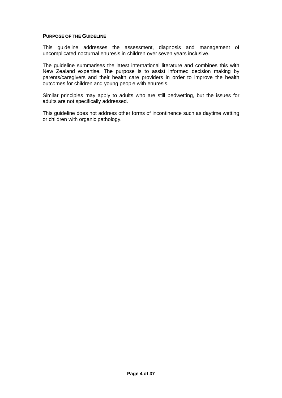#### **PURPOSE OF THE GUIDELINE**

This guideline addresses the assessment, diagnosis and management of uncomplicated nocturnal enuresis in children over seven years inclusive.

The guideline summarises the latest international literature and combines this with New Zealand expertise. The purpose is to assist informed decision making by parents/caregivers and their health care providers in order to improve the health outcomes for children and young people with enuresis.

Similar principles may apply to adults who are still bedwetting, but the issues for adults are not specifically addressed.

This guideline does not address other forms of incontinence such as daytime wetting or children with organic pathology.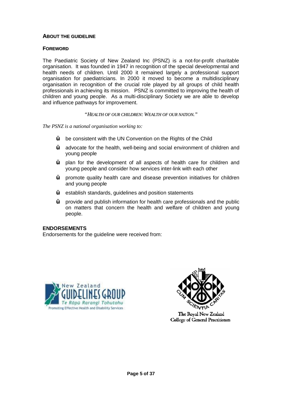# **ABOUT THE GUIDELINE**

# **FOREWORD**

The Paediatric Society of New Zealand Inc (PSNZ) is a not-for-profit charitable organisation. It was founded in 1947 in recognition of the special developmental and health needs of children. Until 2000 it remained largely a professional support organisation for paediatricians. In 2000 it moved to become a multidisciplinary organisation in recognition of the crucial role played by all groups of child health professionals in achieving its mission. PSNZ is committed to improving the health of children and young people. As a multi-disciplinary Society we are able to develop and influence pathways for improvement.

## *"HEALTH OF OUR CHILDREN: WEALTH OF OUR NATION."*

*The PSNZ is a national organisation working to:* 

- **Ÿ** be consistent with the UN Convention on the Rights of the Child
- **Ÿ** advocate for the health, well-being and social environment of children and young people
- **Ÿ** plan for the development of all aspects of health care for children and young people and consider how services inter-link with each other
- **Ÿ** promote quality health care and disease prevention initiatives for children and young people
- **Ÿ** establish standards, guidelines and position statements
- **Ÿ** provide and publish information for health care professionals and the public on matters that concern the health and welfare of children and young people.

#### **ENDORSEMENTS**

Endorsements for the guideline were received from:





**College of General Practitioners**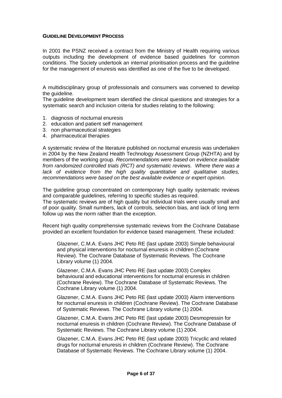## **GUIDELINE DEVELOPMENT PROCESS**

In 2001 the PSNZ received a contract from the Ministry of Health requiring various outputs including the development of evidence based guidelines for common conditions. The Society undertook an internal prioritisation process and the guideline for the management of enuresis was identified as one of the five to be developed.

A multidisciplinary group of professionals and consumers was convened to develop the quideline.

The guideline development team identified the clinical questions and strategies for a systematic search and inclusion criteria for studies relating to the following:

- 1. diagnosis of nocturnal enuresis
- 2. education and patient self management
- 3. non pharmaceutical strategies
- 4. pharmaceutical therapies

A systematic review of the literature published on nocturnal enuresis was undertaken in 2004 by the New Zealand Health Technology Assessment Group (NZHTA) and by members of the working group. *Recommendations were based on evidence available from randomized controlled trials (RCT) and systematic reviews. Where there was a lack of evidence from the high quality quantitative and qualitative studies, recommendations were based on the best available evidence or expert opinion.* 

The guideline group concentrated on contemporary high quality systematic reviews and comparable guidelines, referring to specific studies as required.

The systematic reviews are of high quality but individual trials were usually small and of poor quality. Small numbers, lack of controls, selection bias, and lack of long term follow up was the norm rather than the exception.

Recent high quality comprehensive systematic reviews from the Cochrane Database provided an excellent foundation for evidence based management. These included:

Glazener, C.M.A. Evans JHC Peto RE (last update 2003) Simple behavioural and physical interventions for nocturnal enuresis in children (Cochrane Review). The Cochrane Database of Systematic Reviews. The Cochrane Library volume (1) 2004.

Glazener, C.M.A. Evans JHC Peto RE (last update 2003) Complex behavioural and educational interventions for nocturnal enuresis in children (Cochrane Review). The Cochrane Database of Systematic Reviews. The Cochrane Library volume (1) 2004.

Glazener, C.M.A. Evans JHC Peto RE (last update 2003) Alarm interventions for nocturnal enuresis in children (Cochrane Review). The Cochrane Database of Systematic Reviews. The Cochrane Library volume (1) 2004.

Glazener, C.M.A. Evans JHC Peto RE (last update 2003) Desmopressin for nocturnal enuresis in children (Cochrane Review). The Cochrane Database of Systematic Reviews. The Cochrane Library volume (1) 2004.

Glazener, C.M.A. Evans JHC Peto RE (last update 2003) Tricyclic and related drugs for nocturnal enuresis in children (Cochrane Review). The Cochrane Database of Systematic Reviews. The Cochrane Library volume (1) 2004.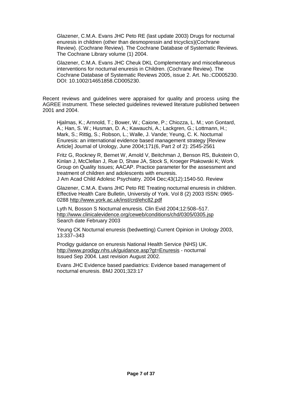Glazener, C.M.A. Evans JHC Peto RE (last update 2003) Drugs for nocturnal enuresis in children (other than desmopressin and tricyclics)(Cochrane Review). (Cochrane Review). The Cochrane Database of Systematic Reviews. The Cochrane Library volume (1) 2004.

Glazener, C.M.A. Evans JHC Cheuk DKL Complementary and miscellaneous interventions for nocturnal enuresis in Children. (Cochrane Review). The Cochrane Database of Systematic Reviews 2005, issue 2. Art. No.:CD005230. DOI: 10.1002/14651858.CD005230.

Recent reviews and guidelines were appraised for quality and process using the AGREE instrument. These selected guidelines reviewed literature published between 2001 and 2004.

Hjalmas, K.; Arnnold, T.; Bower, W.; Caione, P.; Chiozza, L. M.; von Gontard, A.; Han, S. W.; Husman, D. A.; Kawauchi, A.; Lackgren, G.; Lottmann, H.; Mark, S.; Rittig, S.; Robson, L.; Walle, J. Vande; Yeung, C. K. Nocturnal Enuresis: an international evidence based management strategy [Review Article] Journal of Urology, June 2004;171(6, Part 2 of 2): 2545-2561

Fritz G, Rockney R, Bernet W, Arnold V, Beitchman J, Benson RS, Bukstein O, Kinlan J, McClellan J, Rue D, Shaw JA, Stock S, Kroeger Ptakowski K; Work Group on Quality Issues; AACAP. Practice parameter for the assessment and treatment of children and adolescents with enuresis. J Am Acad Child Adolesc Psychiatry. 2004 Dec;43(12):1540-50. Review

Glazener, C.M.A. Evans JHC Peto RE Treating nocturnal enuresis in children. Effective Health Care Bulletin, Universtiy of York. Vol 8 (2) 2003 ISSN: 0965- 0288 <http://www.york.ac.uk/inst/crd/ehc82.pdf>

Lyth N, Bosson S Nocturnal enuresis. Clin Evid 2004;12:508–517. <http://www.clinicalevidence.org/ceweb/conditions/chd/0305/0305.jsp> Search date February 2003

Yeung CK Nocturnal enuresis (bedwetting) Current Opinion in Urology 2003, 13:337–343

Prodigy guidance on enuresis National Health Service (NHS) UK. <http://www.prodigy.nhs.uk/guidance.asp?gt=Enuresis> - nocturnal Issued Sep 2004. Last revision August 2002.

Evans JHC Evidence based paediatrics: Evidence based management of nocturnal enuresis. BMJ 2001;323:17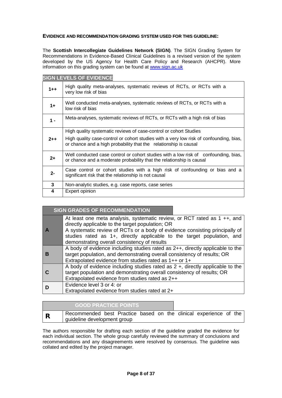## **EVIDENCE AND RECOMMENDATION GRADING SYSTEM USED FOR THIS GUIDELINE:**

The **Scottish Intercollegiate Guidelines Network (SIGN)**. The SIGN Grading System for Recommendations in Evidence-Based Clinical Guidelines is a revised version of the system developed by the US Agency for Health Care Policy and Research (AHCPR). More information on this grading system can be found at [www.sign.ac.uk](http://www.sign.ac.uk)

|         | <b>SIGN LEVELS OF EVIDENCE</b>                                                                                                                              |
|---------|-------------------------------------------------------------------------------------------------------------------------------------------------------------|
| $1 + +$ | High quality meta-analyses, systematic reviews of RCTs, or RCTs with a<br>very low risk of bias                                                             |
| $1+$    | Well conducted meta-analyses, systematic reviews of RCTs, or RCTs with a<br>low risk of bias                                                                |
| $1 -$   | Meta-analyses, systematic reviews of RCTs, or RCTs with a high risk of bias                                                                                 |
|         | High quality systematic reviews of case-control or cohort Studies                                                                                           |
| $2 + +$ | High quality case-control or cohort studies with a very low risk of confounding, bias,<br>or chance and a high probability that the relationship is causal  |
| $2+$    | Well conducted case control or cohort studies with a low risk of confounding, bias,<br>or chance and a moderate probability that the relationship is causal |
| $2 -$   | Case control or cohort studies with a high risk of confounding or bias and a<br>significant risk that the relationship is not causal                        |
| 3       | Non-analytic studies, e.g. case reports, case series                                                                                                        |
| 4       | Expert opinion                                                                                                                                              |

| <b>SIGN GRADES OF RECOMMENDATION</b>                                                                                                                                                                                                                                                                                                      |
|-------------------------------------------------------------------------------------------------------------------------------------------------------------------------------------------------------------------------------------------------------------------------------------------------------------------------------------------|
| At least one meta analysis, systematic review, or RCT rated as $1 + +$ , and<br>directly applicable to the target population; OR<br>A systematic review of RCTs or a body of evidence consisting principally of<br>studies rated as 1+, directly applicable to the target population, and<br>demonstrating overall consistency of results |
| A body of evidence including studies rated as $2++$ , directly applicable to the<br>target population, and demonstrating overall consistency of results; OR<br>Extrapolated evidence from studies rated as 1++ or 1+                                                                                                                      |
| A body of evidence including studies rated as $2 +$ , directly applicable to the<br>target population and demonstrating overall consistency of results; OR<br>Extrapolated evidence from studies rated as 2++                                                                                                                             |
| Evidence level 3 or 4: or<br>Extrapolated evidence from studies rated at 2+                                                                                                                                                                                                                                                               |

|             | <b>GOOD PRACTICE POINTS </b>                                                                     |  |  |  |  |  |
|-------------|--------------------------------------------------------------------------------------------------|--|--|--|--|--|
| $\mathbf R$ | Recommended best Practice based on the clinical experience of the<br>guideline development group |  |  |  |  |  |

The authors responsible for drafting each section of the guideline graded the evidence for each individual section. The whole group carefully reviewed the summary of conclusions and recommendations and any disagreements were resolved by consensus. The guideline was collated and edited by the project manager.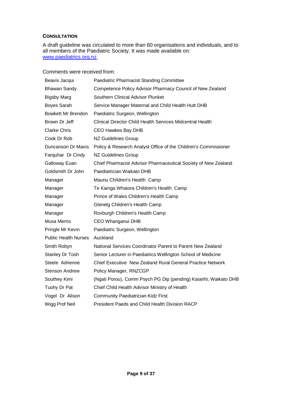# **CONSULTATION**

A draft guideline was circulated to more than 60 organisations and individuals, and to all members of the Paediatric Society. It was made available on: [www.paediatrics.org.nz.](http://www.paediatrics.org.nz)

Comments were received from:

| Beavis Jacqui               | Paediatric Pharmacist Standing Committee                         |
|-----------------------------|------------------------------------------------------------------|
| Bhawan Sandy                | Competence Policy Advisor Pharmacy Council of New Zealand        |
| <b>Bigsby Marg</b>          | Southern Clinical Advisor Plunket                                |
| <b>Boyes Sarah</b>          | Service Manager Maternal and Child Health Hutt DHB               |
| Bowkett Mr Brendon          | Paediatric Surgeon, Wellington                                   |
| Brown Dr Jeff               | Clinical Director Child Health Services Midcentral Health        |
| <b>Clarke Chris</b>         | <b>CEO Hawkes Bay DHB</b>                                        |
| Cook Dr Rob                 | NZ Guidelines Group                                              |
| Duncanson Dr Mavis          | Policy & Research Analyst Office of the Children's Commissioner  |
| Farquhar Dr Cindy           | NZ Guidelines Group                                              |
| Galloway Euan               | Chief Pharmacist Advisor Pharmaceutical Society of New Zealand   |
| Goldsmith Dr John           | Paediatrician Waikato DHB                                        |
| Manager                     | Maunu Children's Health Camp                                     |
| Manager                     | Te Kainga Whaiora Children's Health Camp                         |
| Manager                     | Prince of Wales Children's Health Camp                           |
| Manager                     | Glenelg Children's Health Camp                                   |
| Manager                     | Roxburgh Children's Health Camp                                  |
| Musa Memo                   | CEO Whanganui DHB                                                |
| Pringle Mr Kevin            | Paediatric Surgeon, Wellington                                   |
| <b>Public Health Nurses</b> | Auckland                                                         |
| Smith Robyn                 | National Services Coordinator Parent to Parent New Zealand       |
| Stanley Dr Tosh             | Senior Lecturer in Paediatrics Wellington School of Medicine     |
| Steele Adrienne             | Chief Executive New Zealand Rural General Practice Network       |
| <b>Stenson Andrew</b>       | Policy Manager, RNZCGP                                           |
| Southey Kimi                | (Ngati Porou), Comm Psych PG Dip (pending) Kaiarihi, Waikato DHB |
| Tuohy Dr Pat                | Chief Child Health Advisor Ministry of Health                    |
| Vogel Dr Alison             | <b>Community Paediatrician Kidz First</b>                        |
| Wigg Prof Neil              | President Paeds and Child Health Division RACP                   |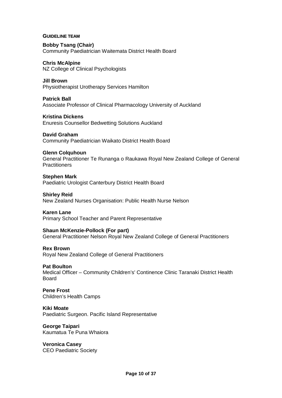#### **GUIDELINE TEAM**

**Bobby Tsang (Chair)**  Community Paediatrician Waitemata District Health Board

**Chris McAlpine**  NZ College of Clinical Psychologists

**Jill Brown**  Physiotherapist Urotherapy Services Hamilton

**Patrick Ball**  Associate Professor of Clinical Pharmacology University of Auckland

**Kristina Dickens**  Enuresis Counsellor Bedwetting Solutions Auckland

**David Graham**  Community Paediatrician Waikato District Health Board

#### **Glenn Colquhoun**

General Practitioner Te Runanga o Raukawa Royal New Zealand College of General **Practitioners** 

**Stephen Mark**  Paediatric Urologist Canterbury District Health Board

**Shirley Reid**  New Zealand Nurses Organisation: Public Health Nurse Nelson

**Karen Lane** 

Primary School Teacher and Parent Representative

#### **Shaun McKenzie-Pollock (For part)**

General Practitioner Nelson Royal New Zealand College of General Practitioners

**Rex Brown** 

Royal New Zealand College of General Practitioners

#### **Pat Boulton**

Medical Officer – Community Children's' Continence Clinic Taranaki District Health Board

**Pene Frost**  Children's Health Camps

**Kiki Moate**  Paediatric Surgeon. Pacific Island Representative

**George Taipari**  Kaumatua Te Puna Whaiora

**Veronica Casey**  CEO Paediatric Society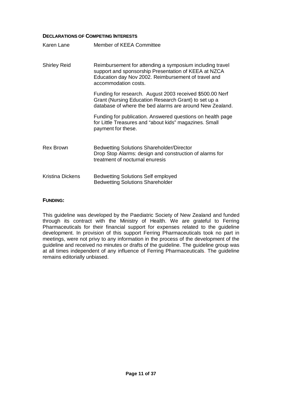# **DECLARATIONS OF COMPETING INTERESTS**

| Karen Lane              | Member of KEEA Committee                                                                                                                                                                        |
|-------------------------|-------------------------------------------------------------------------------------------------------------------------------------------------------------------------------------------------|
| <b>Shirley Reid</b>     | Reimbursement for attending a symposium including travel<br>support and sponsorship Presentation of KEEA at NZCA<br>Education day Nov 2002. Reimbursement of travel and<br>accommodation costs. |
|                         | Funding for research. August 2003 received \$500.00 Nerf<br>Grant (Nursing Education Research Grant) to set up a<br>database of where the bed alarms are around New Zealand.                    |
|                         | Funding for publication. Answered questions on health page<br>for Little Treasures and "about kids" magazines. Small<br>payment for these.                                                      |
| <b>Rex Brown</b>        | <b>Bedwetting Solutions Shareholder/Director</b><br>Drop Stop Alarms: design and construction of alarms for<br>treatment of nocturnal enuresis                                                  |
| <b>Kristina Dickens</b> | <b>Bedwetting Solutions Self employed</b><br><b>Bedwetting Solutions Shareholder</b>                                                                                                            |

#### **FUNDING:**

This guideline was developed by the Paediatric Society of New Zealand and funded through its contract with the Ministry of Health. We are grateful to Ferring Pharmaceuticals for their financial support for expenses related to the guideline development. In provision of this support Ferring Pharmaceuticals took no part in meetings, were not privy to any information in the process of the development of the guideline and received no minutes or drafts of the guideline. The guideline group was at all times independent of any influence of Ferring Pharmaceuticals. The guideline remains editorially unbiased.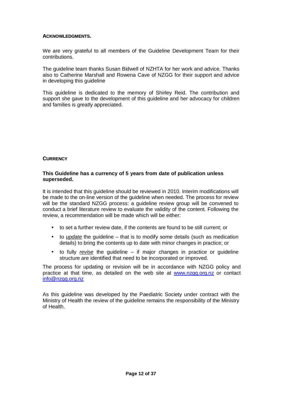## **ACKNOWLEDGMENTS.**

We are very grateful to all members of the Guideline Development Team for their contributions.

The guideline team thanks Susan Bidwell of NZHTA for her work and advice. Thanks also to Catherine Marshall and Rowena Cave of NZGG for their support and advice in developing this guideline

This guideline is dedicated to the memory of Shirley Reid. The contribution and support she gave to the development of this guideline and her advocacy for children and families is greatly appreciated.

## **CURRENCY**

# **This Guideline has a currency of 5 years from date of publication unless superseded.**

It is intended that this guideline should be reviewed in 2010. Interim modifications will be made to the on-line version of the guideline when needed. The process for review will be the standard NZGG process: a guideline review group will be convened to conduct a brief literature review to evaluate the validity of the content. Following the review, a recommendation will be made which will be either:

- to set a further review date, if the contents are found to be still current; or
- to *update* the guideline that is to modify some details (such as medication details) to bring the contents up to date with minor changes in practice; or
- to fully *revise* the guideline if major changes in practice or guideline structure are identified that need to be incorporated or improved.

The process for updating or revision will be in accordance with NZGG policy and practice at that time, as detailed on the web site at [www.nzgg.org.nz](http://www.nzgg.org.nz) or contact [info@nzgg.org.nz](mailto:info@nzgg.org.nz)

As this guideline was developed by the Paediatric Society under contract with the Ministry of Health the review of the guideline remains the responsibility of the Ministry of Health.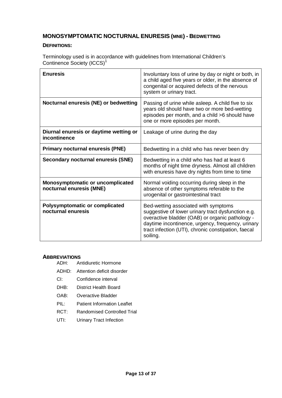# **MONOSYMPTOMATIC NOCTURNAL ENURESIS (MNE) - BEDWETTING**

# **DEFINITIONS:**

Terminology used is in accordance with guidelines from International Children's Continence Society (ICCS)<sup>1</sup>

| <b>Enuresis</b>                                              | Involuntary loss of urine by day or night or both, in<br>a child aged five years or older, in the absence of<br>congenital or acquired defects of the nervous<br>system or urinary tract.                                                                             |
|--------------------------------------------------------------|-----------------------------------------------------------------------------------------------------------------------------------------------------------------------------------------------------------------------------------------------------------------------|
| Nocturnal enuresis (NE) or bedwetting                        | Passing of urine while asleep. A child five to six<br>years old should have two or more bed-wetting<br>episodes per month, and a child >6 should have<br>one or more episodes per month.                                                                              |
| Diurnal enuresis or daytime wetting or<br>incontinence       | Leakage of urine during the day                                                                                                                                                                                                                                       |
| <b>Primary nocturnal enuresis (PNE)</b>                      | Bedwetting in a child who has never been dry                                                                                                                                                                                                                          |
| Secondary nocturnal enuresis (SNE)                           | Bedwetting in a child who has had at least 6<br>months of night time dryness. Almost all children<br>with enuresis have dry nights from time to time                                                                                                                  |
| Monosymptomatic or uncomplicated<br>nocturnal enuresis (MNE) | Normal voiding occurring during sleep in the<br>absence of other symptoms referable to the<br>urogenital or gastrointestinal tract                                                                                                                                    |
| <b>Polysymptomatic or complicated</b><br>nocturnal enuresis  | Bed-wetting associated with symptoms<br>suggestive of lower urinary tract dysfunction e.g.<br>overactive bladder (OAB) or organic pathology -<br>daytime incontinence, urgency, frequency, urinary<br>tract infection (UTI), chronic constipation, faecal<br>soiling. |

# **ABBREVIATIONS**

Antidiuretic Hormone

- ADHD: Attention deficit disorder
- CI: Confidence interval
- DHB: District Health Board
- OAB: Overactive Bladder
- PIL: Patient Information Leaflet
- RCT: Randomised Controlled Trial
- UTI: Urinary Tract Infection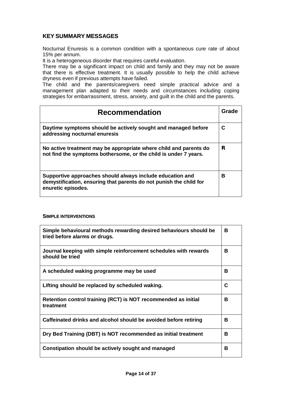# **KEY SUMMARY MESSAGES**

Nocturnal Enuresis is a common condition with a spontaneous cure rate of about 15% per annum.

It is a heterogeneous disorder that requires careful evaluation.

There may be a significant impact on child and family and they may not be aware that there is effective treatment. It is usually possible to help the child achieve dryness even if previous attempts have failed.

The child and the parents/caregivers need simple practical advice and a management plan adapted to their needs and circumstances including coping strategies for embarrassment, stress, anxiety, and guilt in the child and the parents.

| <b>Recommendation</b>                                                                                                                                 | Grade |
|-------------------------------------------------------------------------------------------------------------------------------------------------------|-------|
| Daytime symptoms should be actively sought and managed before<br>addressing nocturnal enuresis                                                        | С     |
| No active treatment may be appropriate where child and parents do<br>not find the symptoms bothersome, or the child is under 7 years.                 | R     |
| Supportive approaches should always include education and<br>demystification, ensuring that parents do not punish the child for<br>enuretic episodes. | в     |

#### **SIMPLE INTERVENTIONS**

| Simple behavioural methods rewarding desired behaviours should be<br>tried before alarms or drugs. | В |
|----------------------------------------------------------------------------------------------------|---|
| Journal keeping with simple reinforcement schedules with rewards<br>should be tried                | В |
| A scheduled waking programme may be used                                                           | B |
| Lifting should be replaced by scheduled waking.                                                    | C |
| Retention control training (RCT) is NOT recommended as initial<br>treatment                        | B |
| Caffeinated drinks and alcohol should be avoided before retiring                                   | B |
| Dry Bed Training (DBT) is NOT recommended as initial treatment                                     | B |
| Constipation should be actively sought and managed                                                 | B |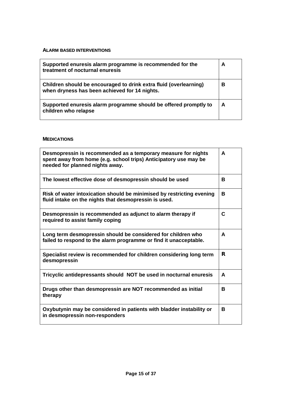# **ALARM BASED INTERVENTIONS**

| Supported enuresis alarm programme is recommended for the<br>treatment of nocturnal enuresis                       | А |
|--------------------------------------------------------------------------------------------------------------------|---|
| Children should be encouraged to drink extra fluid (overlearning)<br>when dryness has been achieved for 14 nights. | в |
| Supported enuresis alarm programme should be offered promptly to<br>children who relapse                           | A |

## **MEDICATIONS**

| Desmopressin is recommended as a temporary measure for nights<br>spent away from home (e.g. school trips) Anticipatory use may be<br>needed for planned nights away. | A |
|----------------------------------------------------------------------------------------------------------------------------------------------------------------------|---|
| The lowest effective dose of desmopressin should be used                                                                                                             | в |
| Risk of water intoxication should be minimised by restricting evening<br>fluid intake on the nights that desmopressin is used.                                       | В |
| Desmopressin is recommended as adjunct to alarm therapy if<br>required to assist family coping                                                                       | C |
| Long term desmopressin should be considered for children who<br>failed to respond to the alarm programme or find it unacceptable.                                    | A |
| Specialist review is recommended for children considering long term<br>desmopressin                                                                                  | R |
| Tricyclic antidepressants should NOT be used in nocturnal enuresis                                                                                                   | A |
| Drugs other than desmopressin are NOT recommended as initial<br>therapy                                                                                              | в |
| Oxybutynin may be considered in patients with bladder instability or<br>in desmopressin non-responders                                                               | В |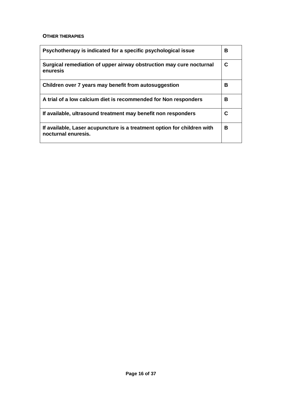## **OTHER THERAPIES**

| Psychotherapy is indicated for a specific psychological issue                                  | в |
|------------------------------------------------------------------------------------------------|---|
| Surgical remediation of upper airway obstruction may cure nocturnal<br>enuresis                | C |
| Children over 7 years may benefit from autosuggestion                                          | в |
| A trial of a low calcium diet is recommended for Non responders                                | в |
| If available, ultrasound treatment may benefit non responders                                  | С |
| If available, Laser acupuncture is a treatment option for children with<br>nocturnal enuresis. | в |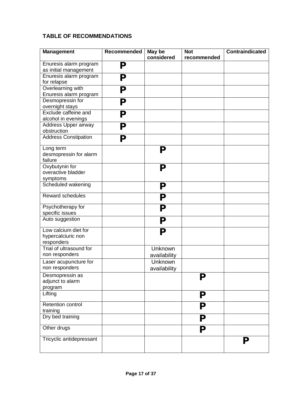# **TABLE OF RECOMMENDATIONS**

| <b>Management</b>                                        | Recommended | May be<br>considered    | <b>Not</b><br>recommended | <b>Contraindicated</b> |
|----------------------------------------------------------|-------------|-------------------------|---------------------------|------------------------|
| Enuresis alarm program<br>as initial management          | ${\bf P}$   |                         |                           |                        |
| Enuresis alarm program<br>for relapse                    | ${\bf P}$   |                         |                           |                        |
| Overlearning with<br>Enuresis alarm program              | ${\bf P}$   |                         |                           |                        |
| Desmopressin for<br>overnight stays                      | ${\bf P}$   |                         |                           |                        |
| Exclude caffeine and<br>alcohol in evenings              | ${\bf P}$   |                         |                           |                        |
| Address Upper airway<br>obstruction                      | ${\bf P}$   |                         |                           |                        |
| <b>Address Constipation</b>                              | $\mathbf P$ |                         |                           |                        |
| Long term<br>desmopressin for alarm<br>failure           |             | ${\bf P}$               |                           |                        |
| Oxybutynin for<br>overactive bladder<br>symptoms         |             | ${\bf P}$               |                           |                        |
| Scheduled wakening                                       |             | ${\bf P}$               |                           |                        |
| Reward schedules                                         |             | ${\bf P}$               |                           |                        |
| Psychotherapy for<br>specific issues                     |             | ${\bf P}$               |                           |                        |
| Auto suggestion                                          |             | ${\bf P}$               |                           |                        |
| Low calcium diet for<br>hypercalciuric non<br>responders |             | ${\bf P}$               |                           |                        |
| Trial of ultrasound for<br>non responders                |             | Unknown<br>availability |                           |                        |
| Laser acupuncture for<br>non responders                  |             | Unknown<br>availability |                           |                        |
| Desmopressin as<br>adjunct to alarm<br>program           |             |                         | ${\bf P}$                 |                        |
| Lifting                                                  |             |                         | ${\bf P}$                 |                        |
| Retention control<br>training                            |             |                         | ${\bf P}$                 |                        |
| Dry bed training                                         |             |                         | ${\bf P}$                 |                        |
| Other drugs                                              |             |                         | ${\bf P}$                 |                        |
| Tricyclic antidepressant                                 |             |                         |                           | ${\bf P}$              |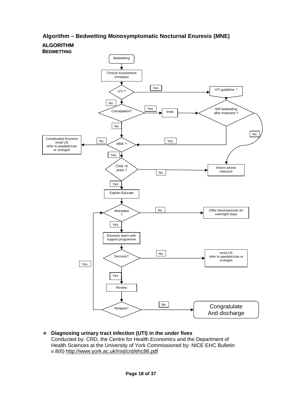# **Algorithm – Bedwetting Monosymptomatic Nocturnal Enuresis (MNE)**



∗ **Diagnosing urinary tract infection (UTI) in the under fives** Conducted by: CRD, the Centre for Health Economics and the Department of Health Sciences at the University of York Commissioned by: NICE EHC Bulletin v.8(6) <http://www.york.ac.uk/inst/crd/ehc86.pdf>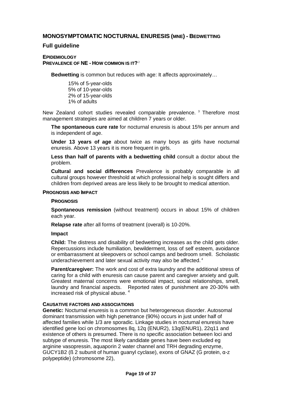# **MONOSYMPTOMATIC NOCTURNAL ENURESIS (MNE) - BEDWETTING**

# **Full guideline**

## **EPIDEMIOLOGY PREVALENCE OF NE - HOW COMMON IS IT?** 2

**Bedwetting** is common but reduces with age: It affects approximately…

15% of 5-year-olds 5% of 10-year-olds 2% of 15-year-olds 1% of adults

New Zealand cohort studies revealed comparable prevalence.<sup>3</sup> Therefore most management strategies are aimed at children 7 years or older.

**The spontaneous cure rate** for nocturnal enuresis is about 15% per annum and is independent of age.

**Under 13 years of age** about twice as many boys as girls have nocturnal enuresis. Above 13 years it is more frequent in girls.

**Less than half of parents with a bedwetting child** consult a doctor about the problem.

**Cultural and social differences** Prevalence is probably comparable in all cultural groups however threshold at which professional help is sought differs and children from deprived areas are less likely to be brought to medical attention.

## **PROGNOSIS AND IMPACT**

#### **PROGNOSIS**

**Spontaneous remission** (without treatment) occurs in about 15% of children each year.

**Relapse rate** after all forms of treatment (overall) is 10-20%.

#### **Impact**

**Child:** The distress and disability of bedwetting increases as the child gets older. Repercussions include humiliation, bewilderment, loss of self esteem, avoidance or embarrassment at sleepovers or school camps and bedroom smell. Scholastic underachievement and later sexual activity may also be affected.<sup>4</sup>

**Parent/caregiver:** The work and cost of extra laundry and the additional stress of caring for a child with enuresis can cause parent and caregiver anxiety and guilt. Greatest maternal concerns were emotional impact, social relationships, smell, laundry and financial aspects. Reported rates of punishment are 20-30% with increased risk of physical abuse. 4

# **CAUSATIVE FACTORS AND ASSOCIATIONS**

**Genetic:** Nocturnal enuresis is a common but heterogeneous disorder. Autosomal dominant transmission with high penetrance (90%) occurs in just under half of affected families while 1/3 are sporadic. Linkage studies in nocturnal enuresis have identified gene loci on chromosomes 8q, 12q (ENUR2), 13q(ENUR1), 22q11 and existence of others is presumed. There is no specific association between loci and subtype of enuresis. The most likely candidate genes have been excluded eg arginine vasopressin, aquaporin 2 water channel and TRH degrading enzyme, GUCY1B2 (ß 2 subunit of human guanyl cyclase), exons of GNAZ (G protein, α-z polypeptide) (chromosome 22),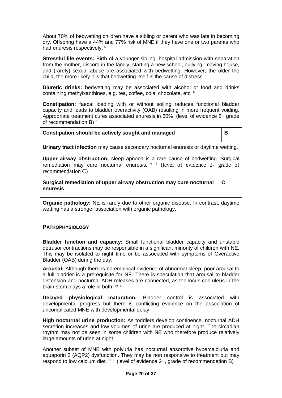About 70% of bedwetting children have a sibling or parent who was late in becoming dry. Offspring have a 44% and 77% risk of MNE if they have one or two parents who had enuresis respectively.<sup>5</sup>

**Stressful life events:** Birth of a younger sibling, hospital admission with separation from the mother, discord in the family, starting a new school, bullying, moving house, and (rarely) sexual abuse are associated with bedwetting. However, the older the child, the more likely it is that bedwetting itself is the cause of distress.

**Diuretic drinks:** bedwetting may be associated with alcohol or food and drinks containing methylxanthines, e.g. tea, coffee, cola, chocolate, etc. 6

**Constipation:** faecal loading with or without soiling reduces functional bladder capacity and leads to bladder overactivity (OAB) resulting in more frequent voiding. Appropriate treatment cures associated enuresis in 60% (level of evidence 2+ grade of recommendation B)  $^7$ 

## **Constipation should be actively sought and managed B**

**C** 

**Urinary tract infection** may cause secondary nocturnal enuresis or daytime wetting.

**Upper airway obstruction:** sleep apnoea is a rare cause of bedwetting. Surgical remediation may cure nocturnal enuresis.  $89$  (level of evidence 2- grade of recommendation C)

**Surgical remediation of upper airway obstruction may cure nocturnal enuresis** 

**Organic pathology:** NE is rarely due to other organic disease. In contrast, daytime wetting has a stronger association with organic pathology.

# **PATHOPHYSIOLOGY**

**Bladder function and capacity:** Small functional bladder capacity and unstable detrusor contractions may be responsible in a significant minority of children with NE. This may be isolated to night time or be associated with symptoms of Overactive Bladder (OAB) during the day.

**Arousal:** Although there is no empirical evidence of abnormal sleep, poor arousal to a full bladder is a prerequisite for NE. There is speculation that arousal to bladder distension and nocturnal ADH releases are connected, as the locus coeruleus in the brain stem plays a role in both.  $^{10-11}$ 

**Delayed physiological maturation:** Bladder control is associated with developmental progress but there is conflicting evidence on the association of uncomplicated MNE with developmental delay.

**High nocturnal urine production:** As toddlers develop continence, nocturnal ADH secretion increases and low volumes of urine are produced at night. The circadian rhythm may not be seen in some children with NE who therefore produce relatively large amounts of urine at night.

Another subset of MNE with polyuria has nocturnal absorptive hypercalciuria and aquaporin 2 (AQP2) dysfunction. They may be non responsive to treatment but may respond to low calcium diet.  $12 \frac{13}{13}$  (level of evidence 2+, grade of recommendation B)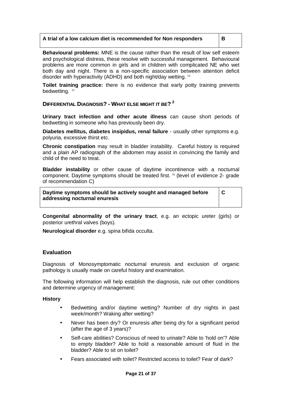# **A trial of a low calcium diet is recommended for Non responders B**

**Behavioural problems:** MNE is the cause rather than the result of low self esteem and psychological distress, these resolve with successful management. Behavioural problems are more common in girls and in children with complicated NE who wet both day and night. There is a non-specific association between attention deficit disorder with hyperactivity (ADHD) and both night/day wetting. <sup>14</sup>

**Toilet training practice:** there is no evidence that early potty training prevents bedwetting. <sup>15</sup>

# **DIFFERENTIAL DIAGNOSIS? - WHAT ELSE MIGHT IT BE? 2**

**Urinary tract infection and other acute illness** can cause short periods of bedwetting in someone who has previously been dry.

**Diabetes mellitus, diabetes insipidus, renal failure** - usually other symptoms e.g. polyuria, excessive thirst etc.

**Chronic constipation** may result in bladder instability. Careful history is required and a plain AP radiograph of the abdomen may assist in convincing the family and child of the need to treat.

**Bladder instability** or other cause of daytime incontinence with a nocturnal component. Daytime symptoms should be treated first. <sup>16</sup> (level of evidence 2- grade of recommendation C)

**Daytime symptoms should be actively sought and managed before addressing nocturnal enuresis** 

**C** 

**Congenital abnormality of the urinary tract**, e.g. an ectopic ureter (girls) or posterior urethral valves (boys).

**Neurological disorder** e.g. spina bifida occulta.

# **Evaluation**

Diagnosis of Monosymptomatic nocturnal enuresis and exclusion of organic pathology is usually made on careful history and examination.

The following information will help establish the diagnosis, rule out other conditions and determine urgency of management:

#### **History**

- Bedwetting and/or daytime wetting? Number of dry nights in past week/month? Waking after wetting?
- Never has been dry? Or enuresis after being dry for a significant period (after the age of 3 years)?
- Self-care abilities? Conscious of need to urinate? Able to 'hold on'? Able to empty bladder? Able to hold a reasonable amount of fluid in the bladder? Able to sit on toilet?
- Fears associated with toilet? Restricted access to toilet? Fear of dark?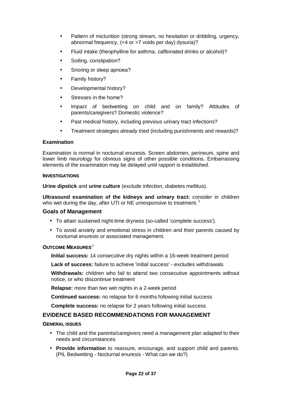- Pattern of micturition (strong stream, no hesitation or dribbling, urgency, abnormal frequency, (<4 or >7 voids per day) dysuria)?
- Fluid intake (theophylline for asthma, caffeinated drinks or alcohol)?
- Soiling, constipation?
- Snoring or sleep apnoea?
- Family history?
- Developmental history?
- Stresses in the home?
- Impact of bedwetting on child and on family? Attitudes of parents/caregivers? Domestic violence?
- Past medical history, including previous urinary tract infections?
- Treatment strategies already tried (including punishments and rewards)?

# **Examination**

Examination is normal in nocturnal enuresis. Screen abdomen, perineum, spine and lower limb neurology for obvious signs of other possible conditions. Embarrassing elements of the examination may be delayed until rapport is established.

#### **INVESTIGATIONS**

**Urine dipstick** and **urine culture** (exclude infection, diabetes mellitus).

**Ultrasound examination of the kidneys and urinary tract:** consider in children who wet during the day, after UTI or NE unresponsive to treatment. $2$ 

# **Goals of Management**

- To attain sustained night-time dryness (so-called 'complete success').
- To avoid anxiety and emotional stress in children and their parents caused by nocturnal enuresis or associated management.

# **OUTCOME MEASURES** 17

**Initial success:** 14 consecutive dry nights within a 16-week treatment period

**Lack of success:** failure to achieve 'initial success' - excludes withdrawals

**Withdrawals:** children who fail to attend two consecutive appointments without notice, or who discontinue treatment

**Relapse:** more than two wet nights in a 2-week period

**Continued success:** no relapse for 6 months following initial success

**Complete success:** no relapse for 2 years following initial success

# **EVIDENCE BASED RECOMMENDATIONS FOR MANAGEMENT**

#### **GENERAL ISSUES**

- The child and the parents/caregivers need a management plan adapted to their needs and circumstances.
- **Provide information** to reassure, encourage, and support child and parents. (PIL Bedwetting - Nocturnal enuresis - What can we do?)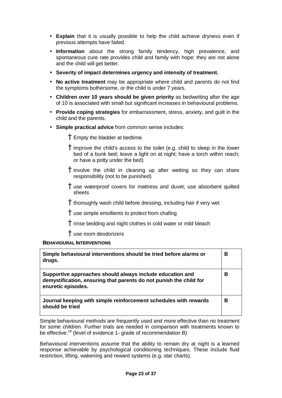- **Explain** that it is usually possible to help the child achieve dryness even if previous attempts have failed.
- **Information** about the strong family tendency, high prevalence, and spontaneous cure rate provides child and family with hope: they are not alone and the child will get better.
- **Severity of impact determines urgency and intensity of treatment.**
- **No active treatment** may be appropriate where child and parents do not find the symptoms bothersome, or the child is under 7 years.
- **Children over 10 years should be given priority** as bedwetting after the age of 10 is associated with small but significant increases in behavioural problems.
- **Provide coping strategies** for embarrassment, stress, anxiety, and guilt in the child and the parents.
- **Simple practical advice** from common sense includes:

Empty the bladder at bedtime.

improve the child's access to the toilet (e.g. child to sleep in the lower bed of a bunk bed; leave a light on at night; have a torch within reach; or have a potty under the bed)

involve the child in cleaning up after wetting so they can share responsibility (not to be punished)

use waterproof covers for mattress and duvet; use absorbent quilted sheets

thoroughly wash child before dressing, including hair if very wet

use simple emollients to protect from chafing

rinse bedding and night clothes in cold water or mild bleach

use room deodorizers

#### **BEHAVIOURAL INTERVENTIONS**

| Simple behavioural interventions should be tried before alarms or<br>drugs.                                                                           | В |
|-------------------------------------------------------------------------------------------------------------------------------------------------------|---|
| Supportive approaches should always include education and<br>demystification, ensuring that parents do not punish the child for<br>enuretic episodes. | В |
| Journal keeping with simple reinforcement schedules with rewards<br>should be tried                                                                   | В |

Simple behavioural methods are frequently used and more effective than no treatment for some children. Further trials are needed in comparison with treatments known to be effective.<sup>18</sup> (level of evidence 1- grade of recommendation B)

Behavioural interventions assume that the ability to remain dry at night is a learned response achievable by psychological conditioning techniques. These include fluid restriction, lifting, wakening and reward systems (e.g. star charts).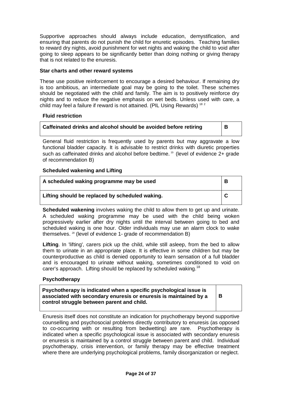Supportive approaches should always include education, demystification, and ensuring that parents do not punish the child for enuretic episodes. Teaching families to reward dry nights, avoid punishment for wet nights and waking the child to void after going to sleep appears to be significantly better than doing nothing or giving therapy that is not related to the enuresis.

# **Star charts and other reward systems**

These use positive reinforcement to encourage a desired behaviour. If remaining dry is too ambitious, an intermediate goal may be going to the toilet. These schemes should be negotiated with the child and family. The aim is to positively reinforce dry nights and to reduce the negative emphasis on wet beds. Unless used with care, a child may feel a failure if reward is not attained. (PIL Using Rewards)<sup>182</sup>

# **Fluid restriction**

| Caffeinated drinks and alcohol should be avoided before retiring |  |
|------------------------------------------------------------------|--|
|                                                                  |  |

General fluid restriction is frequently used by parents but may aggravate a low functional bladder capacity. It is advisable to restrict drinks with diuretic properties such as caffeinated drinks and alcohol before bedtime.<sup>19</sup> (level of evidence 2+ grade of recommendation B)

# **Scheduled wakening and Lifting**

| A scheduled waking programme may be used        | В |
|-------------------------------------------------|---|
| Lifting should be replaced by scheduled waking. |   |

**Scheduled wakening** involves waking the child to allow them to get up and urinate. A scheduled waking programme may be used with the child being woken progressively earlier after dry nights until the interval between going to bed and scheduled waking is one hour. Older individuals may use an alarm clock to wake themselves. <sup>20</sup> (level of evidence 1- grade of recommendation B)

**Lifting**. In 'lifting', carers pick up the child, while still asleep, from the bed to allow them to urinate in an appropriate place. It is effective in some children but may be counterproductive as child is denied opportunity to learn sensation of a full bladder and is encouraged to urinate without waking, sometimes conditioned to void on carer's approach. Lifting should be replaced by scheduled waking.<sup>18</sup>

# **Psychotherapy**

**Psychotherapy is indicated when a specific psychological issue is associated with secondary enuresis or enuresis is maintained by a control struggle between parent and child.** 

**B** 

Enuresis itself does not constitute an indication for psychotherapy beyond supportive counselling and psychosocial problems directly contributory to enuresis (as opposed to co-occurring with or resulting from bedwetting) are rare. Psychotherapy is indicated when a specific psychological issue is associated with secondary enuresis or enuresis is maintained by a control struggle between parent and child. Individual psychotherapy, crisis intervention, or family therapy may be effective treatment where there are underlying psychological problems, family disorganization or neglect.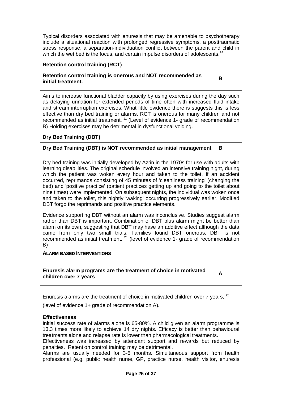Typical disorders associated with enuresis that may be amenable to psychotherapy include a situational reaction with prolonged regressive symptoms, a posttraumatic stress response, a separation-individuation conflict between the parent and child in which the wet bed is the focus, and certain impulse disorders of adolescents.<sup>14</sup>

# **Retention control training (RCT)**

# **Retention control training is onerous and NOT recommended as initial treatment.**

**B** 

Aims to increase functional bladder capacity by using exercises during the day such as delaying urination for extended periods of time often with increased fluid intake and stream interruption exercises. What little evidence there is suggests this is less effective than dry bed training or alarms. RCT is onerous for many children and not recommended as initial treatment.<sup>21</sup> (Level of evidence 1- grade of recommendation B) Holding exercises may be detrimental in dysfunctional voiding.

# **Dry Bed Training (DBT)**

# **Dry Bed Training (DBT) is NOT recommended as initial management B**

Dry bed training was initially developed by Azrin in the 1970s for use with adults with learning disabilities. The original schedule involved an intensive training night, during which the patient was woken every hour and taken to the toilet. If an accident occurred, reprimands consisting of 45 minutes of 'cleanliness training' (changing the bed) and 'positive practice' (patient practices getting up and going to the toilet about nine times) were implemented. On subsequent nights, the individual was woken once and taken to the toilet, this nightly 'waking' occurring progressively earlier. Modified DBT forgo the reprimands and positive practice elements.

Evidence supporting DBT without an alarm was inconclusive. Studies suggest alarm rather than DBT is important. Combination of DBT plus alarm might be better than alarm on its own, suggesting that DBT may have an additive effect although the data came from only two small trials. Families found DBT onerous. DBT is not recommended as initial treatment.  $21$  (level of evidence 1- grade of recommendation B)

# **ALARM BASED INTERVENTIONS**

**Enuresis alarm programs are the treatment of choice in motivated children over 7 years** 

**A** 

Enuresis alarms are the treatment of choice in motivated children over 7 years,  $22$ 

(level of evidence 1+ grade of recommendation A).

# **Effectiveness**

Initial success rate of alarms alone is 65-80%. A child given an alarm programme is 13.3 times more likely to achieve 14 dry nights. Efficacy is better than behavioural treatments alone and relapse rate is lower than pharmacological treatments.

Effectiveness was increased by attendant support and rewards but reduced by penalties. Retention control training may be detrimental.

Alarms are usually needed for 3-5 months. Simultaneous support from health professional (e.g. public health nurse, GP, practice nurse, health visitor, enuresis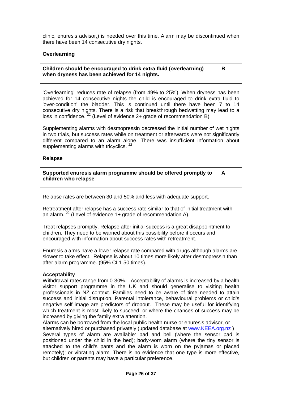clinic, enuresis advisor,) is needed over this time. Alarm may be discontinued when there have been 14 consecutive dry nights.

## **Overlearning**

**Children should be encouraged to drink extra fluid (overlearning) when dryness has been achieved for 14 nights.** 

**B** 

'Overlearning' reduces rate of relapse (from 49% to 25%). When dryness has been achieved for 14 consecutive nights the child is encouraged to drink extra fluid to 'over-condition' the bladder. This is continued until there have been 7 to 14 consecutive dry nights. There is a risk that breakthrough bedwetting may lead to a loss in confidence.  $^{22}$  (Level of evidence 2+ grade of recommendation B).

Supplementing alarms with desmopressin decreased the initial number of wet nights in two trials, but success rates while on treatment or afterwards were not significantly different compared to an alarm alone. There was insufficient information about supplementing alarms with tricyclics.  $22$ 

#### **Relapse**

| Supported enuresis alarm programme should be offered promptly to |  |  |
|------------------------------------------------------------------|--|--|
| children who relapse                                             |  |  |

Relapse rates are between 30 and 50% and less with adequate support.

Retreatment after relapse has a success rate similar to that of initial treatment with an alarm.  $^{22}$  (Level of evidence 1+ grade of recommendation A).

Treat relapses promptly. Relapse after initial success is a great disappointment to children. They need to be warned about this possibility before it occurs and encouraged with information about success rates with retreatment.

Enuresis alarms have a lower relapse rate compared with drugs although alarms are slower to take effect. Relapse is about 10 times more likely after desmopressin than after alarm programme. (95% CI 1-50 times).

#### **Acceptability**

Withdrawal rates range from 0-30%. Acceptability of alarms is increased by a health visitor support programme in the UK and should generalise to visiting health professionals in NZ context. Families need to be aware of time needed to attain success and initial disruption. Parental intolerance, behavioural problems or child's negative self image are predictors of dropout. These may be useful for identifying which treatment is most likely to succeed, or where the chances of success may be increased by giving the family extra attention.

Alarms can be borrowed from the local public health nurse or enuresis advisor, or alternatively hired or purchased privately (updated database at [www.KEEA.org.nz](http://www.KEEA.org.nz)) Several types of alarm are available: pad and bell (where the sensor pad is positioned under the child in the bed); body-worn alarm (where the tiny sensor is attached to the child's pants and the alarm is worn on the pyjamas or placed remotely); or vibrating alarm. There is no evidence that one type is more effective, but children or parents may have a particular preference.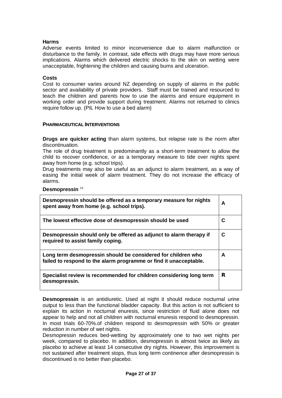# **Harms**

Adverse events limited to minor inconvenience due to alarm malfunction or disturbance to the family. In contrast, side effects with drugs may have more serious implications. Alarms which delivered electric shocks to the skin on wetting were unacceptable, frightening the children and causing burns and ulceration.

#### **Costs**

Cost to consumer varies around NZ depending on supply of alarms in the public sector and availability of private providers. Staff must be trained and resourced to teach the children and parents how to use the alarms and ensure equipment in working order and provide support during treatment. Alarms not returned to clinics require follow up. (PIL How to use a bed alarm)

#### **PHARMACEUTICAL INTERVENTIONS**

**Drugs are quicker acting** than alarm systems, but relapse rate is the norm after discontinuation.

The role of drug treatment is predominantly as a short-term treatment to allow the child to recover confidence, or as a temporary measure to tide over nights spent away from home (e.g. school trips).

Drug treatments may also be useful as an adjunct to alarm treatment, as a way of easing the initial week of alarm treatment. They do not increase the efficacy of alarms.

**Desmopressin** <sup>23</sup>

| Desmopressin should be offered as a temporary measure for nights<br>spent away from home (e.g. school trips).                     |   |
|-----------------------------------------------------------------------------------------------------------------------------------|---|
| The lowest effective dose of desmopressin should be used                                                                          | C |
| Desmopressin should only be offered as adjunct to alarm therapy if<br>required to assist family coping.                           | С |
| Long term desmopressin should be considered for children who<br>failed to respond to the alarm programme or find it unacceptable. | A |
| Specialist review is recommended for children considering long term<br>desmopressin.                                              | R |

**Desmopressin** is an antidiuretic. Used at night it should reduce nocturnal urine output to less than the functional bladder capacity. But this action is not sufficient to explain its action in nocturnal enuresis, since restriction of fluid alone does not appear to help and not all children with nocturnal enuresis respond to desmopressin. In most trials 60-70%.of children respond to desmopressin with 50% or greater reduction in number of wet nights.

Desmopressin reduces bed-wetting by approximately one to two wet nights per week, compared to placebo. In addition, desmopressin is almost twice as likely as placebo to achieve at least 14 consecutive dry nights. However, this improvement is not sustained after treatment stops, thus long term continence after desmopressin is discontinued is no better than placebo.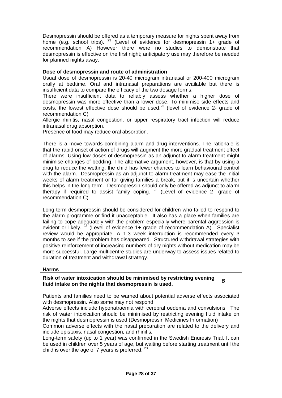Desmopressin should be offered as a temporary measure for nights spent away from home (e.g. school trips).  $^{23}$  (Level of evidence for desmopressin 1+ grade of recommendation A) However there were no studies to demonstrate that desmopressin is effective on the first night; anticipatory use may therefore be needed for planned nights away.

# **Dose of desmopressin and route of administration**

Usual dose of desmopressin is 20-40 microgram intranasal or 200-400 microgram orally at bedtime. Oral and intranasal preparations are available but there is insufficient data to compare the efficacy of the two dosage forms.

There were insufficient data to reliably assess whether a higher dose of desmopressin was more effective than a lower dose. To minimise side effects and costs, the lowest effective dose should be used. $^{23}$  (level of evidence 2- grade of recommendation C)

Allergic rhinitis, nasal congestion, or upper respiratory tract infection will reduce intranasal drug absorption.

Presence of food may reduce oral absorption.

There is a move towards combining alarm and drug interventions. The rationale is that the rapid onset of action of drugs will augment the more gradual treatment effect of alarms. Using low doses of desmopressin as an adjunct to alarm treatment might minimise changes of bedding. The alternative argument, however, is that by using a drug to reduce the wetting, the child has fewer chances to learn behavioural control with the alarm. Desmopressin as an adjunct to alarm treatment may ease the initial weeks of alarm treatment or for giving families a break, but it is uncertain whether this helps in the long term. Desmopressin should only be offered as adjunct to alarm therapy if required to assist family coping.  $23$  (Level of evidence 2- grade of recommendation C)

Long term desmopressin should be considered for children who failed to respond to the alarm programme or find it unacceptable. It also has a place when families are failing to cope adequately with the problem especially where parental aggression is evident or likely.  $23$  (Level of evidence 1+ grade of recommendation A). Specialist review would be appropriate. A 1-3 week interruption is recommended every 3 months to see if the problem has disappeared. Structured withdrawal strategies with positive reinforcement of increasing numbers of dry nights without medication may be more successful. Large multicentre studies are underway to assess issues related to duration of treatment and withdrawal strategy.

# **Harms**

**Risk of water intoxication should be minimised by restricting evening fluid intake on the nights that desmopressin is used.** 

**B** 

Patients and families need to be warned about potential adverse effects associated with desmopressin. Also some may not respond.

Adverse effects include hyponatraemia with cerebral oedema and convulsions. The risk of water intoxication should be minimised by restricting evening fluid intake on the nights that desmopressin is used (Desmopressin Medicines Information)

Common adverse effects with the nasal preparation are related to the delivery and include epistaxis, nasal congestion, and rhinitis.

Long-term safety (up to 1 year) was confirmed in the Swedish Enuresis Trial. It can be used in children over 5 years of age, but waiting before starting treatment until the child is over the age of 7 years is preferred.  $23$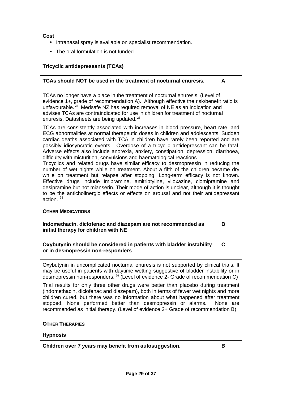**Cost** 

- Intranasal spray is available on specialist recommendation.
- The oral formulation is not funded.

# **Tricyclic antidepressants (TCAs)**

## **TCAs should NOT be used in the treatment of nocturnal enuresis. A**

TCAs no longer have a place in the treatment of nocturnal enuresis. (Level of evidence 1+, grade of recommendation A). Although effective the risk/benefit ratio is unfavourable.  $24$  Medsafe NZ has required removal of NE as an indication and advises TCAs are contraindicated for use in children for treatment of nocturnal enuresis. Datasheets are being updated. <sup>25</sup>

TCAs are consistently associated with increases in blood pressure, heart rate, and ECG abnormalities at normal therapeutic doses in children and adolescents. Sudden cardiac deaths associated with TCA in children have rarely been reported and are possibly idiosyncratic events. Overdose of a tricyclic antidepressant can be fatal. Adverse effects also include anorexia, anxiety, constipation, depression, diarrhoea, difficulty with micturition, convulsions and haematological reactions

Tricyclics and related drugs have similar efficacy to desmopressin in reducing the number of wet nights while on treatment. About a fifth of the children became dry while on treatment but relapse after stopping. Long-term efficacy is not known. Effective drugs include Imipramine, amitriptyline, viloxazine, clomipramine and desipramine but not mianserin. Their mode of action is unclear, although it is thought to be the anticholinergic effects or effects on arousal and not their antidepressant action. 24

# **OTHER MEDICATIONS**

| Indomethacin, diclofenac and diazepam are not recommended as<br>initial therapy for children with NE      |             |
|-----------------------------------------------------------------------------------------------------------|-------------|
| Oxybutynin should be considered in patients with bladder instability<br>or in desmopressin non-responders | $\mathbf C$ |

Oxybutynin in uncomplicated nocturnal enuresis is not supported by clinical trials. It may be useful in patients with daytime wetting suggestive of bladder instability or in desmopressin non-responders. <sup>26</sup> (Level of evidence 2- Grade of recommendation C)

Trial results for only three other drugs were better than placebo during treatment (indomethacin, diclofenac and diazepam), both in terms of fewer wet nights and more children cured, but there was no information about what happened after treatment stopped. None performed better than desmopressin or alarms. None are recommended as initial therapy. (Level of evidence 2+ Grade of recommendation B)

#### **OTHER THERAPIES**

#### **Hypnosis**

| Children over 7 years may benefit from autosuggestion. |  |
|--------------------------------------------------------|--|
|--------------------------------------------------------|--|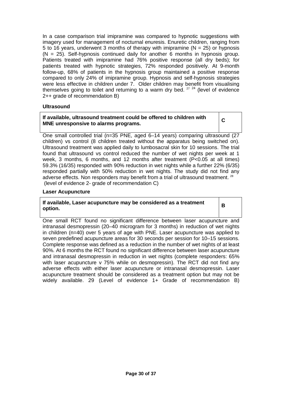In a case comparison trial imipramine was compared to hypnotic suggestions with imagery used for management of nocturnal enuresis. Enuretic children, ranging from 5 to 16 years, underwent 3 months of therapy with imipramine ( $N = 25$ ) or hypnosis  $(N = 25)$ . Self-hypnosis continued daily for another 6 months in hypnosis group. Patients treated with imipramine had 76% positive response (all dry beds); for patients treated with hypnotic strategies, 72% responded positively. At 9-month follow-up, 68% of patients in the hypnosis group maintained a positive response compared to only 24% of imipramine group. Hypnosis and self-hypnosis strategies were less effective in children under 7. Older children may benefit from visualising themselves going to toilet and returning to a warm dry bed.<sup>27</sup>  $24$  (level of evidence 2++ grade of recommendation B)

# **Ultrasound**

# **If available, ultrasound treatment could be offered to children with MNE unresponsive to alarms programs.**

**C** 

One small controlled trial (n=35 PNE, aged 6–14 years) comparing ultrasound (27 children) vs control (8 children treated without the apparatus being switched on). Ultrasound treatment was applied daily to lumbosacral skin for 10 sessions. The trial found that ultrasound vs control reduced the number of wet nights per week at 1 week, 3 months, 6 months, and 12 months after treatment (P<0.05 at all times) 59.3% (16/35) responded with 90% reduction in wet nights while a further 22% (6/35) responded partially with 50% reduction in wet nights. The study did not find any adverse effects. Non responders may benefit from a trial of ultrasound treatment.  $^{28}$ (level of evidence 2- grade of recommendation C)

## **Laser Acupuncture**

**If available, Laser acupuncture may be considered as a treatment option.** 

**B** 

One small RCT found no significant difference between laser acupuncture and intranasal desmopressin (20–40 microgram for 3 months) in reduction of wet nights in children (n=40) over 5 years of age with PNE. Laser acupuncture was applied to seven predefined acupuncture areas for 30 seconds per session for 10–15 sessions. Complete response was defined as a reduction in the number of wet nights of at least 90%. At 6 months the RCT found no significant difference between laser acupuncture and intranasal desmopressin in reduction in wet nights (complete responders: 65% with laser acupuncture v 75% while on desmopressin). The RCT did not find any adverse effects with either laser acupuncture or intranasal desmopressin. Laser acupuncture treatment should be considered as a treatment option but may not be widely available. 29 (Level of evidence 1+ Grade of recommendation B)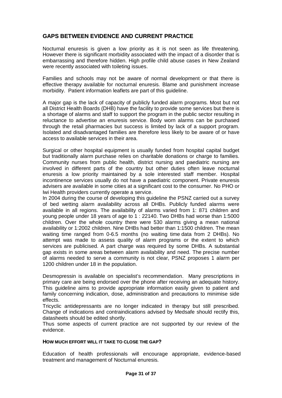# **GAPS BETWEEN EVIDENCE AND CURRENT PRACTICE**

Nocturnal enuresis is given a low priority as it is not seen as life threatening. However there is significant morbidity associated with the impact of a disorder that is embarrassing and therefore hidden. High profile child abuse cases in New Zealand were recently associated with toileting issues.

Families and schools may not be aware of normal development or that there is effective therapy available for nocturnal enuresis. Blame and punishment increase morbidity. Patient information leaflets are part of this guideline.

A major gap is the lack of capacity of publicly funded alarm programs. Most but not all District Health Boards (DHB) have the facility to provide some services but there is a shortage of alarms and staff to support the program in the public sector resulting in reluctance to advertise an enuresis service. Body worn alarms can be purchased through the retail pharmacies but success is limited by lack of a support program. Isolated and disadvantaged families are therefore less likely to be aware of or have access to available services in their area.

Surgical or other hospital equipment is usually funded from hospital capital budget but traditionally alarm purchase relies on charitable donations or charge to families. Community nurses from public health, district nursing and paediatric nursing are involved in different parts of the country but other duties often leave nocturnal enuresis a low priority maintained by a sole interested staff member. Hospital incontinence services usually do not have a paediatric component. Private enuresis advisers are available in some cities at a significant cost to the consumer. No PHO or Iwi Health providers currently operate a service.

In 2004 during the course of developing this guideline the PSNZ carried out a survey of bed wetting alarm availability across all DHBs. Publicly funded alarms were available in all regions. The availability of alarms varied from 1: 871 children and young people under 18 years of age to 1 : 22140. Two DHBs had worse than 1:5000 children. Over the whole country there were 530 alarms giving a mean national availability or 1:2002 children. Nine DHBs had better than 1:1500 children. The mean waiting time ranged from 0-6.5 months (no waiting time data from 2 DHBs). No attempt was made to assess quality of alarm programs or the extent to which services are publicised. A part charge was required by some DHBs. A substantial gap exists in some areas between alarm availability and need. The precise number of alarms needed to serve a community is not clear, PSNZ proposes 1 alarm per 1200 children under 18 in the population.

Desmopressin is available on specialist's recommendation. Many prescriptions in primary care are being endorsed over the phone after receiving an adequate history. This guideline aims to provide appropriate information easily given to patient and family concerning indication, dose, administration and precautions to minimise side effects.

Tricyclic antidepressants are no longer indicated in therapy but still prescribed. Change of indications and contraindications advised by Medsafe should rectify this, datasheets should be edited shortly.

Thus some aspects of current practice are not supported by our review of the evidence.

#### **HOW MUCH EFFORT WILL IT TAKE TO CLOSE THE GAP?**

Education of health professionals will encourage appropriate, evidence-based treatment and management of Nocturnal enuresis.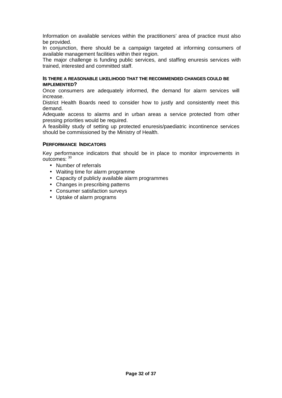Information on available services within the practitioners' area of practice must also be provided.

In conjunction, there should be a campaign targeted at informing consumers of available management facilities within their region.

The major challenge is funding public services, and staffing enuresis services with trained, interested and committed staff.

#### **IS THERE A REASONABLE LIKELIHOOD THAT THE RECOMMENDED CHANGES COULD BE IMPLEMENTED?**

Once consumers are adequately informed, the demand for alarm services will increase.

District Health Boards need to consider how to justly and consistently meet this demand.

Adequate access to alarms and in urban areas a service protected from other pressing priorities would be required.

A feasibility study of setting up protected enuresis/paediatric incontinence services should be commissioned by the Ministry of Health.

#### **PERFORMANCE INDICATORS**

Key performance indicators that should be in place to monitor improvements in outcomes: <sup>30</sup>

- Number of referrals
- Waiting time for alarm programme
- Capacity of publicly available alarm programmes
- Changes in prescribing patterns
- Consumer satisfaction surveys
- Uptake of alarm programs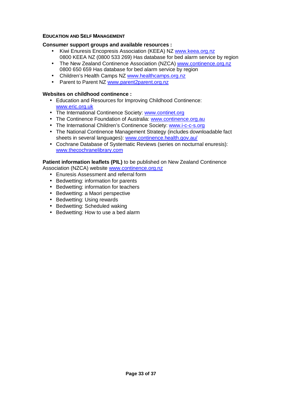# **EDUCATION AND SELF MANAGEMENT**

## **Consumer support groups and available resources :**

- Kiwi Enuresis Encopresis Association (KEEA) NZ www.keea.org.nz 0800 KEEA NZ (0800 533 269) Has database for bed alarm service by region
- The New Zealand Continence Association (NZCA) [www.continence.org.nz](http://www.continence.org.nz) 0800 650 659 Has database for bed alarm service by region
- Children's Health Camps NZ www.healthcamps.org.nz
- Parent to Parent NZ www.parent2parent.org.nz

## **Websites on childhood continence :**

- Education and Resources for Improving Childhood Continence: [www.eric.org.uk](http://www.eric.org.uk)
- The International Continence Society: [www.continet.org](http://www.continet.org)
- The Continence Foundation of Australia: www.continence.org.au
- The International Children's Continence Society: [www.i-c-c-s.org](http://www.i-c-c-s.org)
- The National Continence Management Strategy (includes downloadable fact sheets in several languages): [www.continence.health.gov.au/](http://www.continence.health.gov.au/)
- Cochrane Database of Systematic Reviews (series on nocturnal enuresis): [www.thecochranelibrary.com](http://www.thecochranelibrary.com)

# **Patient information leaflets (PIL)** to be published on New Zealand Continence

Association (NZCA) website [www.continence.org.nz](http://www.continence.org.nz)

- Enuresis Assessment and referral form
- Bedwetting: information for parents
- Bedwetting: information for teachers
- Bedwetting: a Maori perspective
- Bedwetting: Using rewards
- Bedwetting: Scheduled waking
- Bedwetting: How to use a bed alarm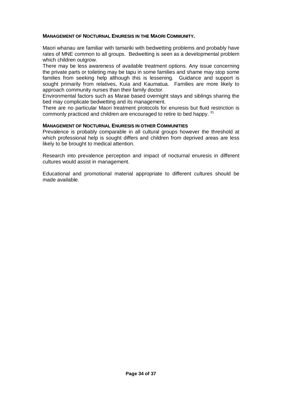## **MANAGEMENT OF NOCTURNAL ENURESIS IN THE MAORI COMMUNITY.**

Maori whanau are familiar with tamariki with bedwetting problems and probably have rates of MNE common to all groups. Bedwetting is seen as a developmental problem which children outgrow.

There may be less awareness of available treatment options. Any issue concerning the private parts or toileting may be tapu in some families and shame may stop some families from seeking help although this is lessening. Guidance and support is sought primarily from relatives, Kuia and Kaumatua. Families are more likely to approach community nurses than their family doctor.

Environmental factors such as Marae based overnight stays and siblings sharing the bed may complicate bedwetting and its management.

There are no particular Maori treatment protocols for enuresis but fluid restriction is commonly practiced and children are encouraged to retire to bed happy. <sup>31</sup>

#### **MANAGEMENT OF NOCTURNAL ENURESIS IN OTHER COMMUNITIES**

Prevalence is probably comparable in all cultural groups however the threshold at which professional help is sought differs and children from deprived areas are less likely to be brought to medical attention.

Research into prevalence perception and impact of nocturnal enuresis in different cultures would assist in management.

Educational and promotional material appropriate to different cultures should be made available.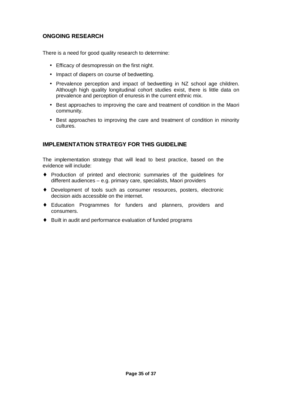# **ONGOING RESEARCH**

There is a need for good quality research to determine:

- Efficacy of desmopressin on the first night.
- Impact of diapers on course of bedwetting.
- Prevalence perception and impact of bedwetting in NZ school age children. Although high quality longitudinal cohort studies exist, there is little data on prevalence and perception of enuresis in the current ethnic mix.
- Best approaches to improving the care and treatment of condition in the Maori community.
- Best approaches to improving the care and treatment of condition in minority cultures.

# **IMPLEMENTATION STRATEGY FOR THIS GUIDELINE**

The implementation strategy that will lead to best practice, based on the evidence will include:

- ♦ Production of printed and electronic summaries of the guidelines for different audiences – e.g. primary care, specialists, Maori providers
- ♦ Development of tools such as consumer resources, posters, electronic decision aids accessible on the internet.
- ♦ Education Programmes for funders and planners, providers and consumers.
- ♦ Built in audit and performance evaluation of funded programs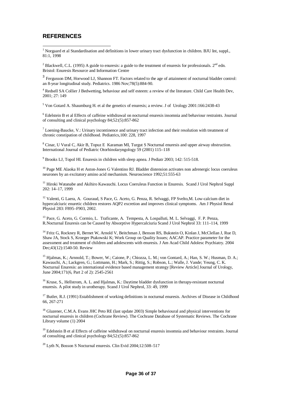# **REFERENCES**

<sup>1</sup> Norgaard et al Standardisation and definitions in lower urinary tract dysfunction in children. BJU Int, suppl., 81:1, 1998

<sup>2</sup> Blackwell, C.L. (1995) A guide to enuresis: a guide to the treatment of enuresis for professionals.  $2<sup>nd</sup>$  edn. Bristol: Enuresis Resource and Information Centre

<sup>3</sup> Fergusson DM, Horwood LJ, Shannon FT. Factors related to the age of attainment of nocturnal bladder control: an 8-year longitudinal study. Pediatrics. 1986 Nov;78(5):884-90.

<sup>4</sup> Redsell SA Collier J Bedwetting, behaviour and self esteem: a review of the literature. Child Care Health Dev, 2001; 27: 149

<sup>5</sup> Von Gotard A. Shaumburg H. et al the genetics of enuresis; a review. J of Urology 2001:166:2438-43

<sup>6</sup> Edelstein B et al Effects of caffeine withdrawal on nocturnal enuresis insomnia and behaviour restraints. Journal of consulting and clinical psychology 84;52:(5):857-862

<sup>7</sup> Loening-Baucke, V.: Urinary incontinence and urinary tract infection and their resolution with treatment of chronic constipation of childhood. Pediatrics,100: 228, 1997

<sup>8</sup> Cinar, U Vural C, Akir B, Topuz E Karaman MI, Turgut S Nocturnal enuresis and upper airway obstruction. International Journal of Pediatric Otorhinolaryngology 59 (2001) 115–118

<sup>9</sup> Brooks LJ, Topol HI. Enuresis in children with sleep apnea. J Pediatr 2003; 142: 515-518.

<sup>10</sup> Page ME Alaoka H et Aston-Jones G Valentino RJ. Bladder distension activates non adrenergic locus coeruleus neurones by an excitatory amino acid mechanism. Neuroscience 1992;51:555-63

<sup>11</sup> Hiroki Watanabe and Akihiro Kawauchi. Locus Coeruleus Function in Enuresis. Scand J Urol Nephrol Suppl 202: 14–17, 1999

 $12$  Valenti, G Laera, A. Gouraud, S Pace, G. Aceto, G. Penza, R. Selvaggi, FP Svelto, M. Low-calcium diet in hypercalciuric enuretic children restores AQP2 excretion and improves clinical symptoms. Am J Physiol Renal Physiol 283: F895–F903, 2002.

<sup>13</sup> Pace, G. Aceto, G. Cormio, L. Traficante, A. Tempesta, A. Lospalluti, M. L. Selvaggi, F. P. Penza, R.Nocturnal Enuresis can be Caused by Absorptive Hypercalciuria Scand J Urol Nephrol 33: 111–114, 1999

<sup>14</sup> Fritz G, Rockney R, Bernet W, Arnold V, Beitchman J, Benson RS, Bukstein O, Kinlan J, McClellan J, Rue D, Shaw JA, Stock S, Kroeger Ptakowski K; Work Group on Quality Issues; AACAP. Practice parameter for the assessment and treatment of children and adolescents with enuresis. J Am Acad Child Adolesc Psychiatry. 2004 Dec;43(12):1540-50. Review

<sup>15</sup> Hjalmas, K.; Arnnold, T.; Bower, W.; Caione, P.; Chiozza, L. M.; von Gontard, A.; Han, S. W.; Husman, D. A.; Kawauchi, A.; Lackgren, G.; Lottmann, H.; Mark, S.; Rittig, S.; Robson, L.; Walle, J. Vande; Yeung, C. K. Nocturnal Enuresis: an international evidence based management strategy [Review Article] Journal of Urology, June 2004;171(6, Part 2 of 2): 2545-2561

<sup>16</sup> Kruse, S., Hellstrom, A. L. and Hjalmas, K.: Daytime bladder dysfunction in therapy-resistant nocturnal enuresis. A pilot study in urotherapy. Scand J Urol Nephrol, 33: 49, 1999

<sup>17</sup> Butler, R.J. (1991) Establishment of working definitions in nocturnal enuresis. Archives of Disease in Childhood 66, 267-271

<sup>18</sup> Glazener, C.M.A. Evans JHC Peto RE (last update 2003) Simple behavioural and physical interventions for nocturnal enuresis in children (Cochrane Review). The Cochrane Database of Systematic Reviews. The Cochrane Library volume (1) 2004

 $19$  Edelstein B et al Effects of caffeine withdrawal on nocturnal enuresis insomnia and behaviour restraints. Journal of consulting and clinical psychology 84;52:(5):857-862

 $^{20}$  Lyth N, Bosson S Nocturnal enuresis. Clin Evid 2004;12:508-517